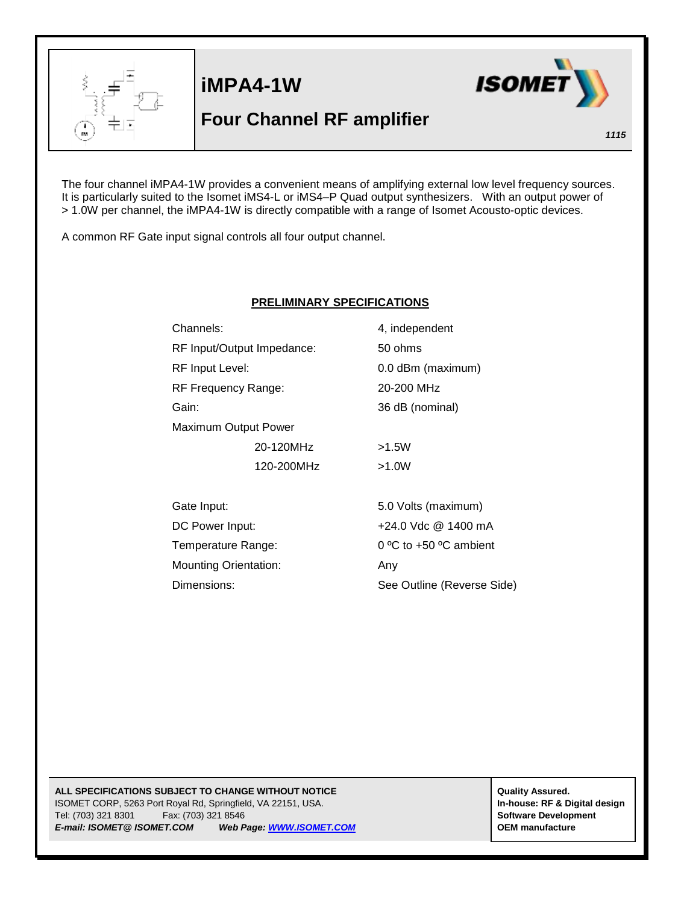

 $\overline{a}$ 

## **iMPA4-1W**



## **Four Channel RF amplifier**

*1115*

The four channel iMPA4-1W provides a convenient means of amplifying external low level frequency sources. It is particularly suited to the Isomet iMS4-L or iMS4–P Quad output synthesizers. With an output power of > 1.0W per channel, the iMPA4-1W is directly compatible with a range of Isomet Acousto-optic devices.

A common RF Gate input signal controls all four output channel.

## **PRELIMINARY SPECIFICATIONS**

| Channels:                    | 4, independent             |
|------------------------------|----------------------------|
| RF Input/Output Impedance:   | 50 ohms                    |
| RF Input Level:              | 0.0 dBm (maximum)          |
| RF Frequency Range:          | 20-200 MHz                 |
| Gain:                        | 36 dB (nominal)            |
| <b>Maximum Output Power</b>  |                            |
| 20-120MHz                    | >1.5W                      |
| 120-200MHz                   | >1.0W                      |
| Gate Input:                  | 5.0 Volts (maximum)        |
| DC Power Input:              | +24.0 Vdc @ 1400 mA        |
| Temperature Range:           | 0 °C to $+50$ °C ambient   |
| <b>Mounting Orientation:</b> | Any                        |
| Dimensions:                  | See Outline (Reverse Side) |

**ALL SPECIFICATIONS SUBJECT TO CHANGE WITHOUT NOTICE ALL SPECIFICATIONS SUBJECT TO CHANGE WITHOUT NOTICE** ISOMET CORP, 5263 Port Royal Rd, Springfield, VA 22151, USA. **In-house: RF & Digital design** Tel: (703) 321 8301 Fax: (703) 321 8546 **Software Development** *E-mail: ISOMET@ ISOMET.COM Web Page[: WWW.ISOMET.COM](http://www.isomet.com/)* **OEM manufacture**